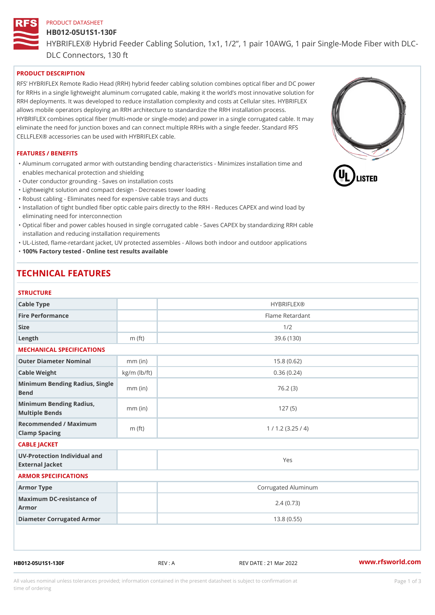# PRODUCT DATASHEET HB012-05U1S1-130F HYBRIFLEX® Hybrid Feeder Cabling Solution, 1x1, 1/2, 1 pair 10AWG, DLC Connectors, 130 ft

## PRODUCT DESCRIPTION

RFS HYBRIFLEX Remote Radio Head (RRH) hybrid feeder cabling solution combines optical fiber and for RRHs in a single lightweight aluminum corrugated cable, making it the world s most innovative s RRH deployments. It was developed to reduce installation complexity and costs at Cellular sites. HY allows mobile operators deploying an RRH architecture to standardize the RRH installation process. HYBRIFLEX combines optical fiber (multi-mode or single-mode) and power in a single corrugated cal eliminate the need for junction boxes and can connect multiple RRHs with a single feeder. Standard CELLFLEX® accessories can be used with HYBRIFLEX cable.

#### FEATURES / BENEFITS

"Aluminum corrugated armor with outstanding bending characteristics - Minimizes installation time a enables mechanical protection and shielding

"Outer conductor grounding - Saves on installation costs

"Lightweight solution and compact design - Decreases tower loading

"Robust cabling - Eliminates need for expensive cable trays and ducts

"Installation of tight bundled fiber optic cable pairs directly to the RRH - Reduces CAPEX and wind eliminating need for interconnection

"Optical fiber and power cables housed in single corrugated cable – Saves CAPEX by standardiz|ng installation and reducing installation requirements

"UL-Listed, flame-retardant jacket, UV protected assembles - Allows both indoor and outdoor applic "100% Factory tested - Online test results available

## TECHNICAL FEATURES

### **STRUCTURE**

| Cable Type                                        |                    | <b>HYBRIFLEX®</b>   |  |  |  |
|---------------------------------------------------|--------------------|---------------------|--|--|--|
| Fire Performance                                  |                    | Flame Retardant     |  |  |  |
| Size                                              |                    | 1/2                 |  |  |  |
| Length                                            | $m$ (ft)           | 39.6(130)           |  |  |  |
| MECHANICAL SPECIFICATIONS                         |                    |                     |  |  |  |
| Outer Diameter Nominal                            | $mm$ (in)          | 15.8(0.62)          |  |  |  |
| Cable Weight                                      | $kg/m$ ( $lb/ft$ ) | 0.36(0.24)          |  |  |  |
| Minimum Bending Radius, Single<br>nm (in<br>Bend  |                    | 76.2(3)             |  |  |  |
| Minimum Bending Radius, mm (in)<br>Multiple Bends |                    | 127(5)              |  |  |  |
| Recommended / Maximum<br>Clamp Spacing            | $m$ (ft)           | 1 / 1.2 (3.25 / 4)  |  |  |  |
| CABLE JACKET                                      |                    |                     |  |  |  |
| UV-Protection Individual and<br>External Jacket   |                    | Yes                 |  |  |  |
| ARMOR SPECIFICATIONS                              |                    |                     |  |  |  |
| Armor Type                                        |                    | Corrugated Aluminum |  |  |  |
| Maximum DC-resistance of<br>Armor                 |                    | 2.4(0.73)           |  |  |  |
| Diameter Corrugated Armor                         |                    | 13.8(0.55)          |  |  |  |
|                                                   |                    |                     |  |  |  |
|                                                   |                    |                     |  |  |  |

HB012-05U1S1-130F REV : A REV DATE : 21 Mar 2022 [www.](https://www.rfsworld.com)rfsworld.com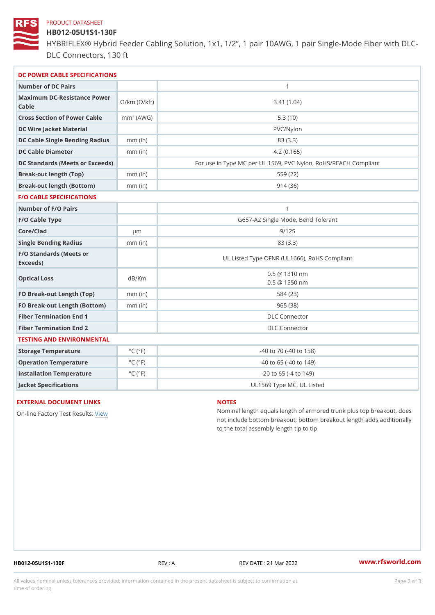#### PRODUCT DATASHEET

## HB012-05U1S1-130F

HYBRIFLEX® Hybrid Feeder Cabling Solution, 1x1, 1/2, 1 pair 10AWG, DLC Connectors, 130 ft

| DC POWER CABLE SPECIFICATIONS                                 |                             |                                                      |  |  |
|---------------------------------------------------------------|-----------------------------|------------------------------------------------------|--|--|
| Number of DC Pairs                                            |                             | $\mathbf{1}$                                         |  |  |
| Maximum DC-Resistance $\bigcirc$ /km ( $\circ$ /kft)<br>Cable |                             | 3.41(1.04)                                           |  |  |
| Cross Section of Power Cnamble (AWG)                          |                             | 5.3(10)                                              |  |  |
| DC Wire Jacket Material                                       |                             | PVC/Nylon                                            |  |  |
| DC Cable Single Bending Rhandi(uish)                          |                             | 83 (3.3)                                             |  |  |
| DC Cable Diameter                                             | $mm$ (in)                   | 4.2(0.165)                                           |  |  |
| DC Standards (Meets or Exceeds)                               |                             | For use in Type MC per UL 1569, PVC Nylon, RoHS/REAC |  |  |
| Break-out length (Top)                                        | $mm$ (in)                   | 559 (22)                                             |  |  |
| Break-out length (Bottom) mm (in)                             |                             | 914(36)                                              |  |  |
| <b>F/O CABLE SPECIFICATIONS</b>                               |                             |                                                      |  |  |
| Number of F/O Pairs                                           |                             | $\mathbf{1}$                                         |  |  |
| F/O Cable Type                                                |                             | G657-A2 Single Mode, Bend Tolerant                   |  |  |
| Core/Clad                                                     | $\mu$ m                     | 9/125                                                |  |  |
| Single Bending Radius                                         | $mm$ (in)                   | 83 (3.3)                                             |  |  |
| F/O Standards (Meets or<br>Exceeds)                           |                             | UL Listed Type OFNR (UL1666), RoHS Compliant         |  |  |
| Optical Loss                                                  | dB/Km                       | $0.5 \t@ 1310 nm$<br>$0.5 \t@ 1550 nm$               |  |  |
| FO Break-out Length (Top)mm (in)                              |                             | 584 (23)                                             |  |  |
| FO Break-out Length (Bottomm) (in)                            |                             | 965 (38)                                             |  |  |
| Fiber Termination End                                         |                             | <b>DLC</b> Connector                                 |  |  |
| Fiber Termination End 2                                       |                             | <b>DLC</b> Connector                                 |  |  |
| TESTING AND ENVIRONMENTAL                                     |                             |                                                      |  |  |
| Storage Temperature                                           | $^{\circ}$ C ( $^{\circ}$ F | $-40$ to $70$ ( $-40$ to $158$ )                     |  |  |
| Operation Temperature                                         | $^{\circ}$ C ( $^{\circ}$ F | $-40$ to $65$ ( $-40$ to $149$ )                     |  |  |
| Installation Temperature                                      | $^{\circ}$ C ( $^{\circ}$ F | $-20$ to 65 ( $-4$ to 149)                           |  |  |
| Jacket Specifications                                         |                             | UL1569 Type MC, UL Listed                            |  |  |

### EXTERNAL DOCUMENT LINKS

On-line Factory Te[s](https://www.rfsworld.com/pictures/userfiles/programs/AAST Latest Version.zip)teRwesults:

### NOTES

Nominal length equals length of armored trunk plus not include bottom breakout; bottom breakout length to the total assembly length tip to tip

HB012-05U1S1-130F REV : A REV DATE : 21 Mar 2022 [www.](https://www.rfsworld.com)rfsworld.com